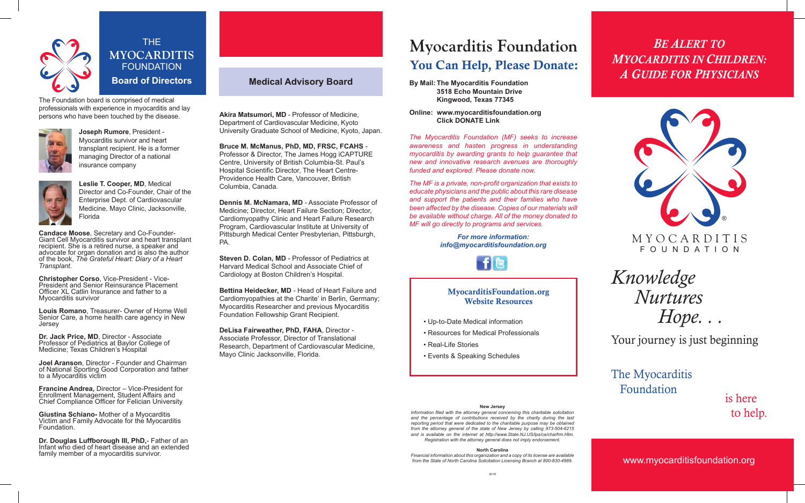

THE **MYOCARDITIS** FOUNDATION **Board of Directors**

The Foundation board is comprised of medical professionals with experience in myocarditis and lay persons who have been touched by the disease.



**Joseph Rumore**, President - Myocarditis survivor and heart transplant recipient. He is a former managing Director of a national insurance company



**Leslie T. Cooper, MD**, Medical Director and Co-Founder, Chair of the Enterprise Dept. of Cardiovascular Medicine, Mayo Clinic, Jacksonville, Florida

**Candace Moose**, Secretary and Co-Founder-Giant Cell Myocarditis survivor and heart transplant recipient. She is a retired nurse, a speaker and advocate for organ donation and is also the author of the book, *The Grateful Heart: Diary of a Heart Transplant.*

**Christopher Corso**, Vice-President - Vice-President and Senior Reinsurance Placement Officer XL Catlin Insurance and father to a Myocarditis survivor

**Louis Romano**, Treasurer- Owner of Home Well Senior Care, a home health care agency in New Jersey

**Dr. Jack Price, MD**, Director - Associate Professor of Pediatrics at Baylor College of Medicine; Texas Children's Hospital

**Joel Aranson**, Director - Founder and Chairman of National Sporting Good Corporation and father to a Myocarditis victim

**Francine Andrea,** Director – Vice-President for Enrollment Management, Student Affairs and Chief Compliance Officer for Felician University

**Giustina Schiano-** Mother of a Myocarditis Victim and Family Advocate for the Myocarditis Foundation.

**Dr. Douglas Luffborough III, PhD,**- Father of an Infant who died of heart disease and an extended family member of a myocarditis survivor.

# **Medical Advisory Board**

**Akira Matsumori, MD** - Professor of Medicine, Department of Cardiovascular Medicine, Kyoto University Graduate School of Medicine, Kyoto, Japan.

**Bruce M. McManus, PhD, MD, FRSC, FCAHS** - Professor & Director, The James Hogg iCAPTURE Centre, University of British Columbia-St. Paul's Hospital Scientific Director, The Heart Centre-Providence Health Care, Vancouver, British Columbia, Canada.

**Dennis M. McNamara, MD** - Associate Professor of Medicine; Director, Heart Failure Section; Director, Cardiomyopathy Clinic and Heart Failure Research Program, Cardiovascular Institute at University of Pittsburgh Medical Center Presbyterian, Pittsburgh, PA.

**Steven D. Colan, MD** - Professor of Pediatrics at Harvard Medical School and Associate Chief of Cardiology at Boston Children's Hospital.

**Bettina Heidecker, MD** - Head of Heart Failure and Cardiomyopathies at the Charite' in Berlin, Germany; Myocarditis Researcher and previous Myocarditis Foundation Fellowship Grant Recipient.

**DeLisa Fairweather, PhD, FAHA**, Director - Associate Professor, Director of Translational Research, Department of Cardiovascular Medicine, Mayo Clinic Jacksonville, Florida.

# **Myocarditis Foundation** You Can Help, Please Donate:

- **By Mail: The Myocarditis Foundation 3518 Echo Mountain Drive Kingwood, Texas 77345**
- **Online: www.myocarditisfoundation.org Click DONATE Link**

*The Myocarditis Foundation (MF) seeks to increase awareness and hasten progress in understanding myocarditis by awarding grants to help guarantee that new and innovative research avenues are thoroughly funded and explored. Please donate now.*

*The MF is a private, non-profit organization that exists to educate physicians and the public about this rare disease and support the patients and their families who have been affected by the disease. Copies of our materials will be available without charge. All of the money donated to MF will go directly to programs and services.*

> *For more information: info@myocarditisfoundation.org*



## MyocarditisFoundation.org Website Resources

- Up-to-Date Medical information
- Resources for Medical Professionals
- Real-Life Stories
- Events & Speaking Schedules

# *BE ALERT TO MYOCARDITIS IN CHILDREN: A GUIDE FOR PHYSICIANS*



*Knowledge Nurtures Hope. . .* 

Your journey is just beginning

The Myocarditis Foundation

is here

Information filed with the attorney general concerning this charitable solicitation<br>and the perceptage of contributions received by the charity during the last **and the set** *IO help*. *and the percentage of contributions received by the charity during the last reporting period that were dedicated to the charitable purpose may be obtained from the attorney general of the state of New Jersey by calling 973-504-6215*  and is available on the internet at http://www.State.NJ.US/lps/ca/charfrm.Htm. *Registration with the attorney general does not imply endorsement.*

**North Carolina**

*Financial information about this organization and a copy of its license are available from the State of North Carolina Solicitation Licensing Branch at 800-830-4989.*